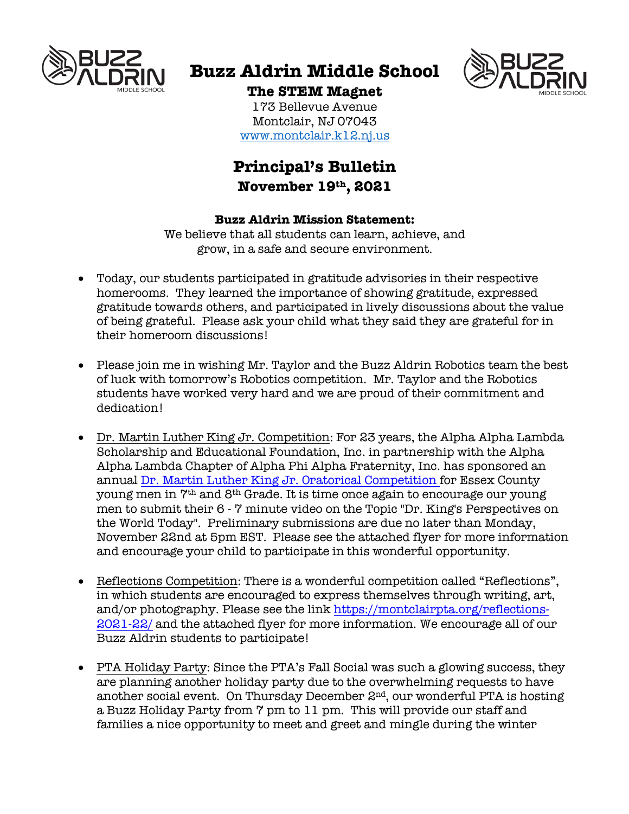

# **Buzz Aldrin Middle School**



**The STEM Magnet** 173 Bellevue Avenue

Montclair, NJ 07043 www.montclair.k12.nj.us

# **Principal's Bulletin November 19th, 2021**

#### **Buzz Aldrin Mission Statement:**

We believe that all students can learn, achieve, and grow, in a safe and secure environment.

- Today, our students participated in gratitude advisories in their respective homerooms. They learned the importance of showing gratitude, expressed gratitude towards others, and participated in lively discussions about the value of being grateful. Please ask your child what they said they are grateful for in their homeroom discussions!
- Please join me in wishing Mr. Taylor and the Buzz Aldrin Robotics team the best of luck with tomorrow's Robotics competition. Mr. Taylor and the Robotics students have worked very hard and we are proud of their commitment and dedication!
- Dr. Martin Luther King Jr. Competition: For 23 years, the Alpha Alpha Lambda Scholarship and Educational Foundation, Inc. in partnership with the Alpha Alpha Lambda Chapter of Alpha Phi Alpha Fraternity, Inc. has sponsored an annual Dr. Martin Luther King Jr. Oratorical Competition for Essex County young men in 7th and 8th Grade. It is time once again to encourage our young men to submit their 6 - 7 minute video on the Topic "Dr. King's Perspectives on the World Today". Preliminary submissions are due no later than Monday, November 22nd at 5pm EST. Please see the attached flyer for more information and encourage your child to participate in this wonderful opportunity.
- Reflections Competition: There is a wonderful competition called "Reflections", in which students are encouraged to express themselves through writing, art, and/or photography. Please see the link https://montclairpta.org/reflections-2021-22/ and the attached flyer for more information. We encourage all of our Buzz Aldrin students to participate!
- PTA Holiday Party: Since the PTA's Fall Social was such a glowing success, they are planning another holiday party due to the overwhelming requests to have another social event. On Thursday December  $2<sup>nd</sup>$ , our wonderful PTA is hosting a Buzz Holiday Party from 7 pm to 11 pm. This will provide our staff and families a nice opportunity to meet and greet and mingle during the winter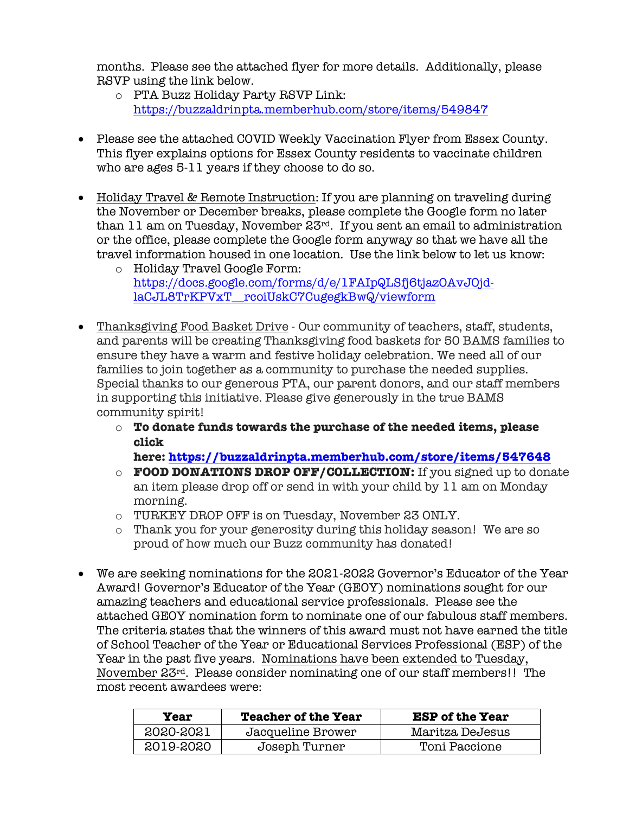months. Please see the attached flyer for more details. Additionally, please RSVP using the link below.

- o PTA Buzz Holiday Party RSVP Link: https://buzzaldrinpta.memberhub.com/store/items/549847
- Please see the attached COVID Weekly Vaccination Flyer from Essex County. This flyer explains options for Essex County residents to vaccinate children who are ages 5-11 years if they choose to do so.
- Holiday Travel & Remote Instruction: If you are planning on traveling during the November or December breaks, please complete the Google form no later than 11 am on Tuesday, November 23rd. If you sent an email to administration or the office, please complete the Google form anyway so that we have all the travel information housed in one location. Use the link below to let us know:
	- o Holiday Travel Google Form: https://docs.google.com/forms/d/e/1FAIpQLSfj6tjazOAvJOjdlaCJL8TrKPVxT\_\_rcoiUskC7CugegkBwQ/viewform
- Thanksgiving Food Basket Drive Our community of teachers, staff, students, and parents will be creating Thanksgiving food baskets for 50 BAMS families to ensure they have a warm and festive holiday celebration. We need all of our families to join together as a community to purchase the needed supplies. Special thanks to our generous PTA, our parent donors, and our staff members in supporting this initiative. Please give generously in the true BAMS community spirit!
	- o **To donate funds towards the purchase of the needed items, please click**

**here: https://buzzaldrinpta.memberhub.com/store/items/547648**

- o **FOOD DONATIONS DROP OFF/COLLECTION:** If you signed up to donate an item please drop off or send in with your child by 11 am on Monday morning.
- o TURKEY DROP OFF is on Tuesday, November 23 ONLY.
- o Thank you for your generosity during this holiday season! We are so proud of how much our Buzz community has donated!
- We are seeking nominations for the 2021-2022 Governor's Educator of the Year Award! Governor's Educator of the Year (GEOY) nominations sought for our amazing teachers and educational service professionals. Please see the attached GEOY nomination form to nominate one of our fabulous staff members. The criteria states that the winners of this award must not have earned the title of School Teacher of the Year or Educational Services Professional (ESP) of the Year in the past five years. Nominations have been extended to Tuesday, November 23rd. Please consider nominating one of our staff members!! The most recent awardees were:

| Year      | <b>Teacher of the Year</b> | <b>ESP</b> of the Year |
|-----------|----------------------------|------------------------|
| 2020-2021 | Jacqueline Brower          | Maritza DeJesus        |
| 2019-2020 | Joseph Turner              | Toni Paccione          |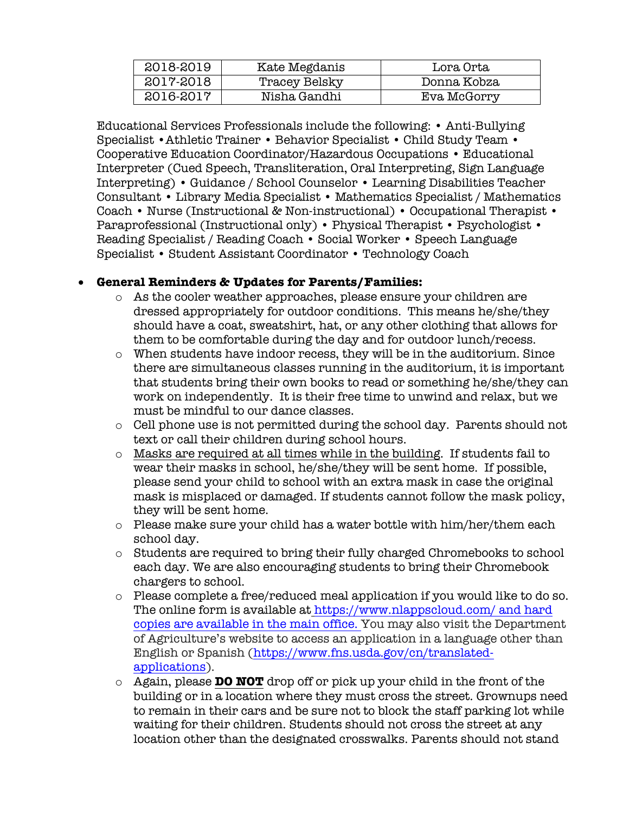| 2018-2019 | Kate Megdanis | Lora Orta   |
|-----------|---------------|-------------|
| 2017-2018 | Tracey Belsky | Donna Kobza |
| 2016-2017 | Nisha Gandhi  | Eva McGorry |

Educational Services Professionals include the following: • Anti-Bullying Specialist •Athletic Trainer • Behavior Specialist • Child Study Team • Cooperative Education Coordinator/Hazardous Occupations • Educational Interpreter (Cued Speech, Transliteration, Oral Interpreting, Sign Language Interpreting) • Guidance / School Counselor • Learning Disabilities Teacher Consultant • Library Media Specialist • Mathematics Specialist / Mathematics Coach • Nurse (Instructional & Non-instructional) • Occupational Therapist • Paraprofessional (Instructional only) • Physical Therapist • Psychologist • Reading Specialist / Reading Coach • Social Worker • Speech Language Specialist • Student Assistant Coordinator • Technology Coach

#### • **General Reminders & Updates for Parents/Families:**

- o As the cooler weather approaches, please ensure your children are dressed appropriately for outdoor conditions. This means he/she/they should have a coat, sweatshirt, hat, or any other clothing that allows for them to be comfortable during the day and for outdoor lunch/recess.
- o When students have indoor recess, they will be in the auditorium. Since there are simultaneous classes running in the auditorium, it is important that students bring their own books to read or something he/she/they can work on independently. It is their free time to unwind and relax, but we must be mindful to our dance classes.
- o Cell phone use is not permitted during the school day. Parents should not text or call their children during school hours.
- $\circ$  Masks are required at all times while in the building. If students fail to wear their masks in school, he/she/they will be sent home. If possible, please send your child to school with an extra mask in case the original mask is misplaced or damaged. If students cannot follow the mask policy, they will be sent home.
- o Please make sure your child has a water bottle with him/her/them each school day.
- o Students are required to bring their fully charged Chromebooks to school each day. We are also encouraging students to bring their Chromebook chargers to school.
- $\circ$  Please complete a free/reduced meal application if you would like to do so. The online form is available at https://www.nlappscloud.com/ and hard copies are available in the main office. You may also visit the Department of Agriculture's website to access an application in a language other than English or Spanish (https://www.fns.usda.gov/cn/translatedapplications).
- o Again, please **DO NOT** drop off or pick up your child in the front of the building or in a location where they must cross the street. Grownups need to remain in their cars and be sure not to block the staff parking lot while waiting for their children. Students should not cross the street at any location other than the designated crosswalks. Parents should not stand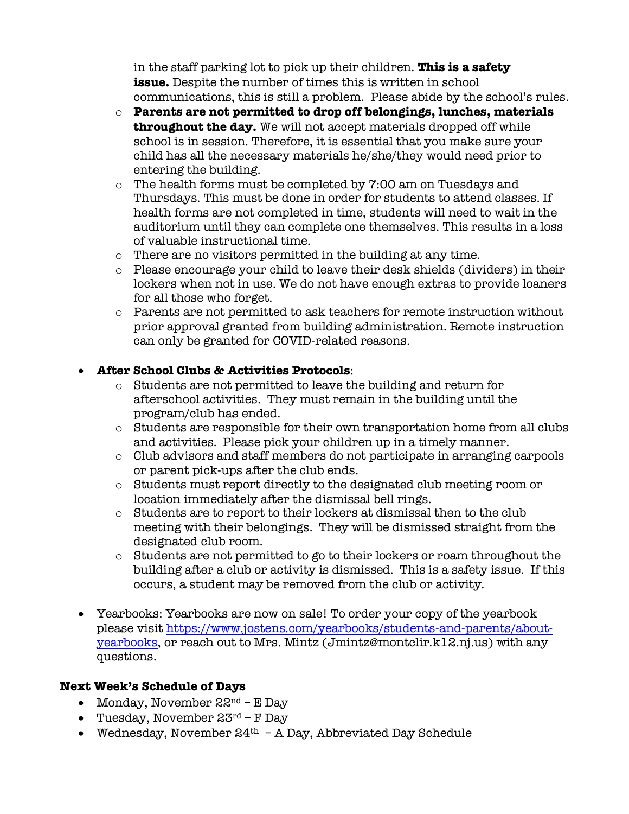in the staff parking lot to pick up their children. **This is a safety issue.** Despite the number of times this is written in school communications, this is still a problem. Please abide by the school's rules.

- o **Parents are not permitted to drop off belongings, lunches, materials throughout the day.** We will not accept materials dropped off while school is in session. Therefore, it is essential that you make sure your child has all the necessary materials he/she/they would need prior to entering the building.
- o The health forms must be completed by 7:00 am on Tuesdays and Thursdays. This must be done in order for students to attend classes. If health forms are not completed in time, students will need to wait in the auditorium until they can complete one themselves. This results in a loss of valuable instructional time.
- o There are no visitors permitted in the building at any time.
- o Please encourage your child to leave their desk shields (dividers) in their lockers when not in use. We do not have enough extras to provide loaners for all those who forget.
- $\circ$  Parents are not permitted to ask teachers for remote instruction without prior approval granted from building administration. Remote instruction can only be granted for COVID-related reasons.

### • **After School Clubs & Activities Protocols**:

- o Students are not permitted to leave the building and return for afterschool activities. They must remain in the building until the program/club has ended.
- o Students are responsible for their own transportation home from all clubs and activities. Please pick your children up in a timely manner.
- o Club advisors and staff members do not participate in arranging carpools or parent pick-ups after the club ends.
- o Students must report directly to the designated club meeting room or location immediately after the dismissal bell rings.
- o Students are to report to their lockers at dismissal then to the club meeting with their belongings. They will be dismissed straight from the designated club room.
- $\circ$  Students are not permitted to go to their lockers or roam throughout the building after a club or activity is dismissed. This is a safety issue. If this occurs, a student may be removed from the club or activity.
- Yearbooks: Yearbooks are now on sale! To order your copy of the yearbook please visit https://www.jostens.com/yearbooks/students-and-parents/aboutyearbooks, or reach out to Mrs. Mintz (Jmintz@montclir.k12.nj.us) with any questions.

## **Next Week's Schedule of Days**

- Monday, November  $22^{nd}$  E Day
- Tuesday, November  $23^{rd}$  F Day
- Wednesday, November  $24<sup>th</sup>$  A Day, Abbreviated Day Schedule